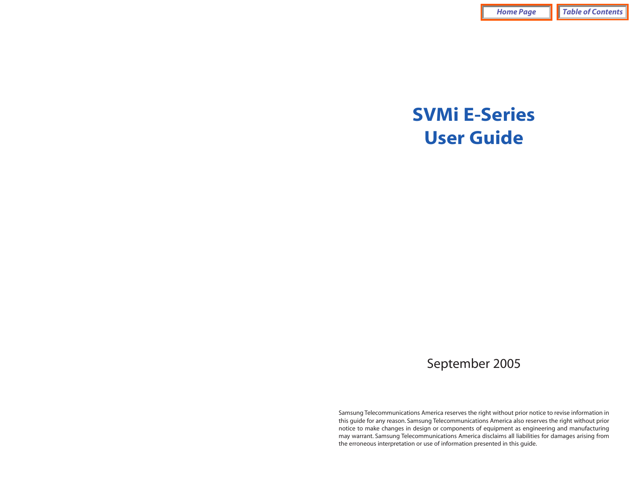# **SVMi E-Series User Guide**

## September 2005

Samsung Telecommunications America reserves the right without prior notice to revise information in this guide for any reason. Samsung Telecommunications America also reserves the right without prior notice to make changes in design or components of equipment as engineering and manufacturing may warrant. Samsung Telecommunications America disclaims all liabilities for damages arising from the erroneous interpretation or use of information presented in this guide.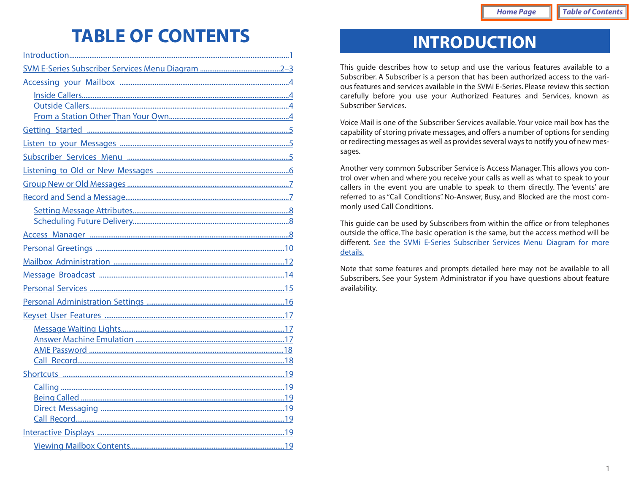# <span id="page-1-0"></span>**TABLE OF CONTENTS**

# **INTRODUCTION**

This guide describes how to setup and use the various features available to a Subscriber. A Subscriber is a person that has been authorized access to the various features and services available in the SVMi E-Series. Please review this section carefully before you use your Authorized Features and Services, known as Subscriber Services.

Voice Mail is one of the Subscriber Services available. Your voice mail box has the capability of storing private messages, and offers a number of options for sending or redirecting messages as well as provides several ways to notify you of new messages.

Another very common Subscriber Service is Access Manager.This allows you control over when and where you receive your calls as well as what to speak to your callers in the event you are unable to speak to them directly. The 'events' are referred to as "Call Conditions". No-Answer, Busy, and Blocked are the most commonly used Call Conditions.

This guide can be used by Subscribers from within the office or from telephones outside the office. The basic operation is the same, but the access method will be different. [See the SVMi E-Series Subscriber Services Menu Diagram for more](#page-2-0) details.

Note that some features and prompts detailed here may not be available to all Subscribers. See your System Administrator if you have questions about feature availability.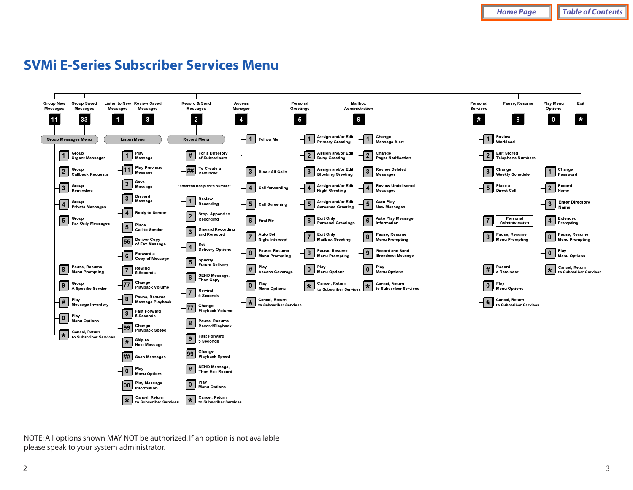# <span id="page-2-0"></span>**SVMi E-Series Subscriber Services Menu**



NOTE: All options shown MAY NOT be authorized. If an option is not available please speak to your system administrator.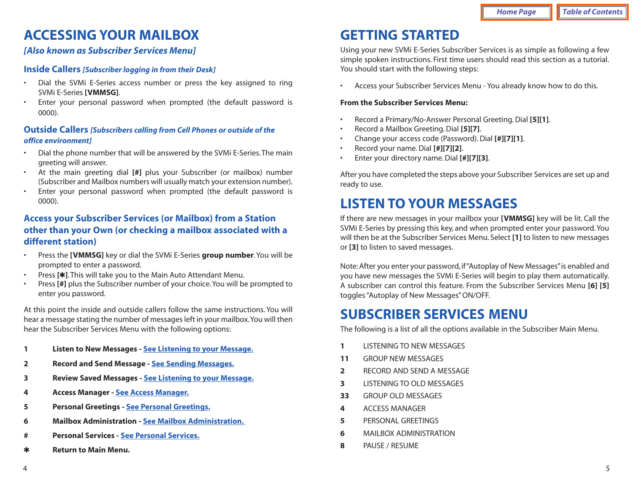# <span id="page-3-1"></span><span id="page-3-0"></span>**ACCESSING YOUR MAILBOX**

### *[Also known as Subscriber Services Menu]*

#### **Inside Callers** *[Subscriber logging in from their Desk]*

- <span id="page-3-2"></span>• Dial the SVMi E-Series access number or press the key assigned to ring SVMi E-Series **[VMMSG]**.
- • Enter your personal password when prompted (the default password is 0000).

#### **Outside Callers** *[Subscribers calling from Cell Phones or outside of the office environment]*

- Dial the phone number that will be answered by the SVMi E-Series. The main greeting will answer.
- At the main greeting dial **[#]** plus your Subscriber (or mailbox) number (Subscriber and Mailbox numbers will usually match your extension number).
- Enter your personal password when prompted (the default password is 0000).

### **Access your Subscriber Services (or Mailbox) from a Station other than your Own (or checking a mailbox associated with a different station)**

- Press the **[VMMSG]** key or dial the SVMi E-Series **group number**. You will be prompted to enter a password.
- Press **[**4**]**. This will take you to the Main Auto Attendant Menu.
- Press [#] plus the Subscriber number of your choice. You will be prompted to enter you password.

At this point the inside and outside callers follow the same instructions. You will hear a message stating the number of messages left in your mailbox.You will then hear the Subscriber Services Menu with the following options:

- **<sup>1</sup> Listen to New Messages - [See Listening to your Message.](#page-3-1)**
- **2 Record and Send Message  [See Sending Messages.](#page-4-1)**
- **3 Review Saved Messages  [See Listening to your Message.](#page-3-1)**
- **4 Access Manager - [See Access Manager.](#page-5-1)**
- **5 Personal Greetings  [See Personal Greetings.](#page-6-0)**
- **6 Mailbox Administration  [See Mailbox Administration.](#page-7-0)**
- **# Personal Services - [See Personal Services.](#page-8-1)**
- 4 **Return to Main Menu.**

# **GETTING STARTED**

Using your new SVMi E-Series Subscriber Services is as simple as following a few simple spoken instructions. First time users should read this section as a tutorial. You should start with the following steps:

•Access your Subscriber Services Menu - You already know how to do this.

#### **From the Subscriber Services Menu:**

- Record a Primary/No-Answer Personal Greeting. Dial **[5][1]**.
- Record a Mailbox Greeting. Dial **[5][7]**.
- Change your access code (Password). Dial **[#][7][1]**.
- Record your name. Dial **[#][7][2]**.
- Enter your directory name. Dial **[#][7][3]**.

After you have completed the steps above your Subscriber Services are set up and ready to use.

# **LISTEN TO YOUR MESSAGES**

If there are new messages in your mailbox your **[VMMSG]** key will be lit. Call the SVMi E-Series by pressing this key, and when prompted enter your password. You will then be at the Subscriber Services Menu. Select **[1]** to listen to new messages or **[3]** to listen to saved messages.

Note: After you enter your password, if "Autoplay of New Messages"is enabled and you have new messages the SVMi E-Series will begin to play them automatically. A subscriber can control this feature. From the Subscriber Services Menu **[6] [5]** toggles "Autoplay of New Messages" ON/OFF.

# **SUBSCRIBER SERVICES MENU**

The following is a list of all the options available in the Subscriber Main Menu.

- **1** LISTENING TO NEW MESSAGES
- **11** GROUP NEW MESSAGES
- **2** RECORD AND SEND A MESSAGE
- **3** LISTENING TO OLD MESSAGES
- **33** GROUP OLD MESSAGES
- **4** ACCESS MANAGER
- **5** PERSONAL GREETINGS
- **6** MAILBOX ADMINISTRATION
- **8** PAUSE / RESUME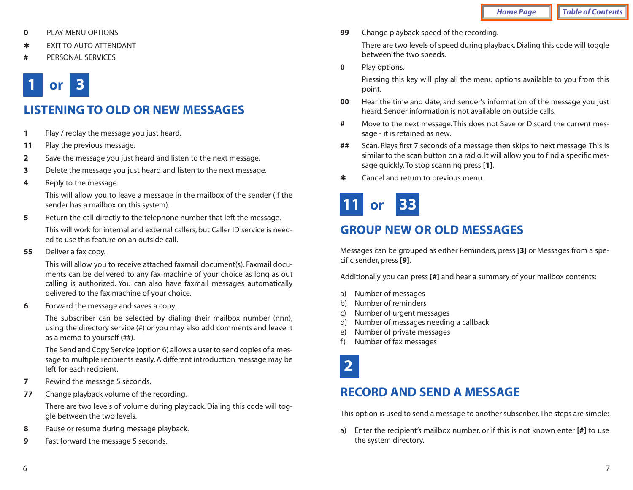- <span id="page-4-0"></span>**0** PLAY MENU OPTIONS
- 4 EXIT TO AUTO ATTENDANT
- **#** PERSONAL SERVICES

# <span id="page-4-1"></span>**1 or 3**

# **LISTENING TO OLD OR NEW MESSAGES**

- **<sup>1</sup>** Play / replay the message you just heard.
- **<sup>11</sup>** Play the previous message.
- **2** Save the message you just heard and listen to the next message.
- **3** Delete the message you just heard and listen to the next message.
- **<sup>4</sup>** Reply to the message.

This will allow you to leave a message in the mailbox of the sender (if the sender has a mailbox on this system).

- **5** Return the call directly to the telephone number that left the message. This will work for internal and external callers, but Caller ID service is needed to use this feature on an outside call.
- **55** Deliver a fax copy.

This will allow you to receive attached faxmail document(s). Faxmail documents can be delivered to any fax machine of your choice as long as out calling is authorized. You can also have faxmail messages automatically delivered to the fax machine of your choice.

**6** Forward the message and saves a copy.

The subscriber can be selected by dialing their mailbox number (nnn), using the directory service (#) or you may also add comments and leave it as a memo to yourself (##).

The Send and Copy Service (option 6) allows a user to send copies of a message to multiple recipients easily. A different introduction message may be left for each recipient.

- **7** Rewind the message 5 seconds.
- **<sup>77</sup>** Change playback volume of the recording.

There are two levels of volume during playback. Dialing this code will toggle between the two levels.

- **8** Pause or resume during message playback.
- **9** Fast forward the message 5 seconds.

**99** Change playback speed of the recording.

There are two levels of speed during playback. Dialing this code will toggle between the two speeds.

**0** Play options.

Pressing this key will play all the menu options available to you from this point.

- **00** Hear the time and date, and sender's information of the message you just heard. Sender information is not available on outside calls.
- **#** Move to the next message. This does not Save or Discard the current message - it is retained as new.
- **##** Scan. Plays first 7 seconds of a message then skips to next message. This is similar to the scan button on a radio. It will allow you to find a specific message quickly. To stop scanning press **[1]**.
- **\*** Cancel and return to previous menu.

# **11 or 33**

# **GROUP NEW OR OLD MESSAGES**

Messages can be grouped as either Reminders, press **[3]** or Messages from a specific sender, press **[9]**.

Additionally you can press **[#]** and hear a summary of your mailbox contents:

- a) Number of messages
- b) Number of reminders
- c) Number of urgent messages
- d) Number of messages needing a callback
- e) Number of private messages
- f) Number of fax messages



# **RECORD AND SEND A MESSAGE**

This option is used to send a message to another subscriber.The steps are simple:

a) Enter the recipient's mailbox number, or if this is not known enter **[#]** to use the system directory.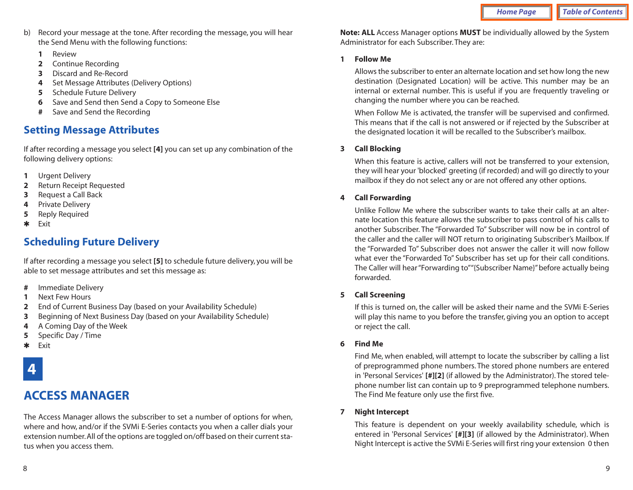- <span id="page-5-0"></span>b) Record your message at the tone. After recording the message, you will hear the Send Menu with the following functions:
	- **1** Review
	- **2** Continue Recording
	- **3** Discard and Re-Record
	- **<sup>4</sup>** Set Message Attributes (Delivery Options)
	- **5** Schedule Future Delivery
	- **6** Save and Send then Send a Copy to Someone Else
	- **#** Save and Send the Recording

### <span id="page-5-1"></span>**Setting Message Attributes**

If after recording a message you select **[4]** you can set up any combination of the following delivery options:

- **<sup>1</sup>** Urgent Delivery
- **2** Return Receipt Requested
- **3** Request a Call Back
- **<sup>4</sup>** Private Delivery
- **5** Reply Required
- 4 Exit

### **Scheduling Future Delivery**

If after recording a message you select **[5]** to schedule future delivery, you will be able to set message attributes and set this message as:

- **#** Immediate Delivery
- **1** Next Few Hours
- **2** End of Current Business Day (based on your Availability Schedule)
- **3** Beginning of Next Business Day (based on your Availability Schedule)
- **<sup>4</sup>** A Coming Day of the Week
- **5** Specific Day / Time
- 4 Exit

# **4**

# **ACCESS MANAGER**

The Access Manager allows the subscriber to set a number of options for when, where and how, and/or if the SVMi E-Series contacts you when a caller dials your extension number. All of the options are toggled on/off based on their current status when you access them.

**Note: ALL** Access Manager options **MUST** be individually allowed by the System Administrator for each Subscriber. They are:

#### **1 Follow Me**

Allows the subscriber to enter an alternate location and set how long the new destination (Designated Location) will be active. This number may be an internal or external number. This is useful if you are frequently traveling or changing the number where you can be reached.

When Follow Me is activated, the transfer will be supervised and confirmed. This means that if the call is not answered or if rejected by the Subscriber at the designated location it will be recalled to the Subscriber's mailbox.

#### **3 Call Blocking**

When this feature is active, callers will not be transferred to your extension, they will hear your 'blocked' greeting (if recorded) and will go directly to your mailbox if they do not select any or are not offered any other options.

#### **4 Call Forwarding**

Unlike Follow Me where the subscriber wants to take their calls at an alternate location this feature allows the subscriber to pass control of his calls to another Subscriber. The "Forwarded To" Subscriber will now be in control of the caller and the caller will NOT return to originating Subscriber's Mailbox. If the "Forwarded To" Subscriber does not answer the caller it will now follow what ever the "Forwarded To" Subscriber has set up for their call conditions. The Caller will hear "Forwarding to""{Subscriber Name}" before actually being forwarded.

#### **5 Call Screening**

If this is turned on, the caller will be asked their name and the SVMi E-Series will play this name to you before the transfer, giving you an option to accept or reject the call.

#### **6 Find Me**

Find Me, when enabled, will attempt to locate the subscriber by calling a list of preprogrammed phone numbers. The stored phone numbers are entered in 'Personal Services' **[#][2]** (if allowed by the Administrator). The stored telephone number list can contain up to 9 preprogrammed telephone numbers. The Find Me feature only use the first five.

#### **7 Night Intercept**

This feature is dependent on your weekly availability schedule, which is entered in 'Personal Services' **[#][3]** (if allowed by the Administrator). When Night Intercept is active the SVMi E-Series will first ring your extension 0 then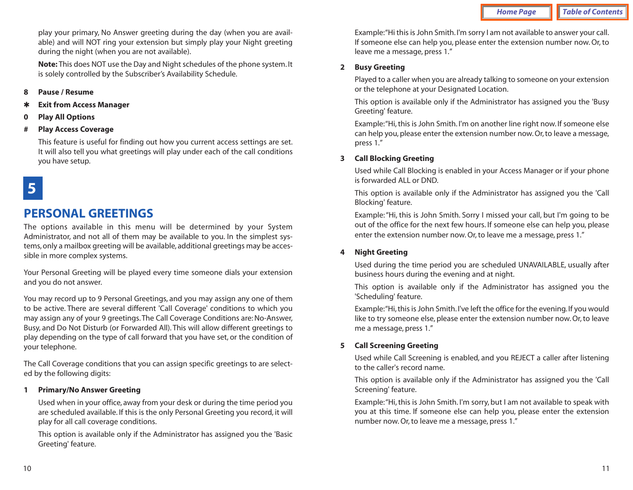play your primary, No Answer greeting during the day (when you are available) and will NOT ring your extension but simply play your Night greeting during the night (when you are not available).

**Note:** This does NOT use the Day and Night schedules of the phone system. It is solely controlled by the Subscriber's Availability Schedule.

- <span id="page-6-0"></span>**8 Pause / Resume**
- **Exit from Access Manager**
- **0 Play All Options**
- **# Play Access Coverage**

This feature is useful for finding out how you current access settings are set. It will also tell you what greetings will play under each of the call conditions you have setup.

# **5**

### **PERSONAL GREETINGS**

The options available in this menu will be determined by your System Administrator, and not all of them may be available to you. In the simplest systems, only a mailbox greeting will be available, additional greetings may be accessible in more complex systems.

Your Personal Greeting will be played every time someone dials your extension and you do not answer.

You may record up to 9 Personal Greetings, and you may assign any one of them to be active. There are several different 'Call Coverage' conditions to which you may assign any of your 9 greetings. The Call Coverage Conditions are: No-Answer, Busy, and Do Not Disturb (or Forwarded All). This will allow different greetings to play depending on the type of call forward that you have set, or the condition of your telephone.

The Call Coverage conditions that you can assign specific greetings to are selected by the following digits:

#### **<sup>1</sup> Primary/No Answer Greeting**

Used when in your office, away from your desk or during the time period you are scheduled available. If this is the only Personal Greeting you record, it will play for all call coverage conditions.

This option is available only if the Administrator has assigned you the 'Basic Greeting' feature.

Example:"Hi this is John Smith. I'm sorry I am not available to answer your call. If someone else can help you, please enter the extension number now. Or, to leave me a message, press 1."

#### **2 Busy Greeting**

Played to a caller when you are already talking to someone on your extension or the telephone at your Designated Location.

This option is available only if the Administrator has assigned you the 'Busy Greeting' feature.

Example:"Hi, this is John Smith. I'm on another line right now. If someone else can help you, please enter the extension number now. Or, to leave a message, press 1."

#### **3 Call Blocking Greeting**

Used while Call Blocking is enabled in your Access Manager or if your phone is forwarded ALL or DND.

This option is available only if the Administrator has assigned you the 'Call Blocking' feature.

Example: "Hi, this is John Smith. Sorry I missed your call, but I'm going to be out of the office for the next few hours. If someone else can help you, please enter the extension number now. Or, to leave me a message, press 1."

#### **4 Night Greeting**

Used during the time period you are scheduled UNAVAILABLE, usually after business hours during the evening and at night.

This option is available only if the Administrator has assigned you the 'Scheduling' feature.

Example:"Hi, this is John Smith. I've left the office for the evening. If you would like to try someone else, please enter the extension number now. Or, to leave me a message, press 1."

#### **5 Call Screening Greeting**

Used while Call Screening is enabled, and you REJECT a caller after listening to the caller's record name.

This option is available only if the Administrator has assigned you the 'Call Screening' feature.

Example:"Hi, this is John Smith. I'm sorry, but I am not available to speak with you at this time. If someone else can help you, please enter the extension number now. Or, to leave me a message, press 1."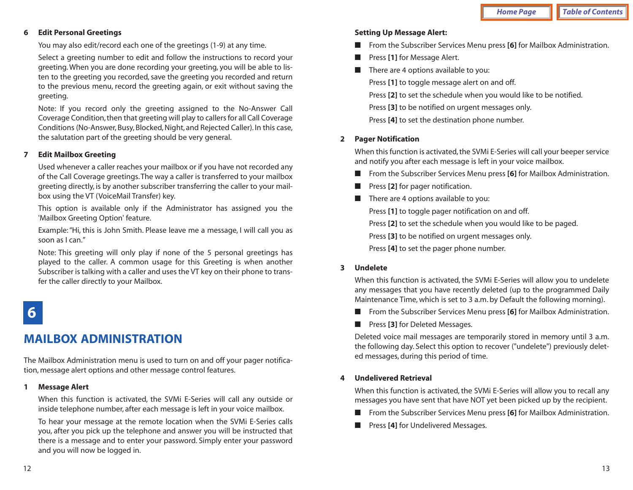#### **6 Edit Personal Greetings**

You may also edit/record each one of the greetings (1-9) at any time.

Select a greeting number to edit and follow the instructions to record your greeting. When you are done recording your greeting, you will be able to listen to the greeting you recorded, save the greeting you recorded and return to the previous menu, record the greeting again, or exit without saving the greeting.

<span id="page-7-0"></span>Note: If you record only the greeting assigned to the No-Answer Call Coverage Condition, then that greeting will play to callers for all Call Coverage Conditions (No-Answer, Busy, Blocked, Night, and Rejected Caller). In this case, the salutation part of the greeting should be very general.

#### **7 Edit Mailbox Greeting**

Used whenever a caller reaches your mailbox or if you have not recorded any of the Call Coverage greetings.The way a caller is transferred to your mailbox greeting directly, is by another subscriber transferring the caller to your mailbox using the VT (VoiceMail Transfer) key.

This option is available only if the Administrator has assigned you the 'Mailbox Greeting Option' feature.

Example: "Hi, this is John Smith. Please leave me a message, I will call you as soon as I can."

Note: This greeting will only play if none of the 5 personal greetings has played to the caller. A common usage for this Greeting is when another Subscriber is talking with a caller and uses the VT key on their phone to transfer the caller directly to your Mailbox.

# **6**

# **MAILBOX ADMINISTRATION**

The Mailbox Administration menu is used to turn on and off your pager notification, message alert options and other message control features.

#### **1 Message Alert**

When this function is activated, the SVMi E-Series will call any outside or inside telephone number, after each message is left in your voice mailbox.

To hear your message at the remote location when the SVMi E-Series calls you, after you pick up the telephone and answer you will be instructed that there is a message and to enter your password. Simply enter your password and you will now be logged in.

#### **Setting Up Message Alert:**

- From the Subscriber Services Menu press **[6]** for Mailbox Administration.
- Press [1] for Message Alert.
- There are 4 options available to you:

Press **[1]** to toggle message alert on and off.

Press **[2]** to set the schedule when you would like to be notified.

Press **[3]** to be notified on urgent messages only.

Press **[4]** to set the destination phone number.

#### **2 Pager Notification**

When this function is activated, the SVMi E-Series will call your beeper service and notify you after each message is left in your voice mailbox.

- From the Subscriber Services Menu press **[6]** for Mailbox Administration.
- Press [2] for pager notification.
- There are 4 options available to you:

Press **[1]** to toggle pager notification on and off.

Press **[2]** to set the schedule when you would like to be paged.

Press **[3]** to be notified on urgent messages only.

Press **[4]** to set the pager phone number.

#### **3 Undelete**

When this function is activated, the SVMi E-Series will allow you to undelete any messages that you have recently deleted (up to the programmed Daily Maintenance Time, which is set to 3 a.m. by Default the following morning).

- From the Subscriber Services Menu press **[6]** for Mailbox Administration.
- Press **[3]** for Deleted Messages.

Deleted voice mail messages are temporarily stored in memory until 3 a.m. the following day. Select this option to recover ("undelete") previously deleted messages, during this period of time.

#### **4 Undelivered Retrieval**

When this function is activated, the SVMi E-Series will allow you to recall any messages you have sent that have NOT yet been picked up by the recipient.

- From the Subscriber Services Menu press **[6]** for Mailbox Administration.
- Press [4] for Undelivered Messages.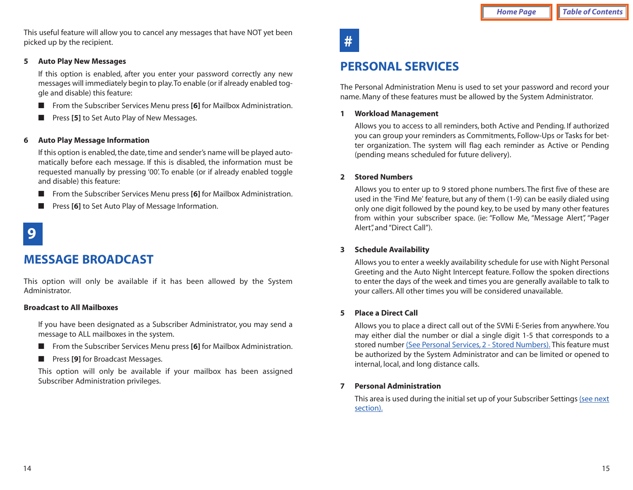<span id="page-8-1"></span>This useful feature will allow you to cancel any messages that have NOT yet been picked up by the recipient.

#### <span id="page-8-0"></span>**5 Auto Play New Messages**

If this option is enabled, after you enter your password correctly any new messages will immediately begin to play.To enable (or if already enabled toggle and disable) this feature:

- From the Subscriber Services Menu press **[6]** for Mailbox Administration.
- Press [**5**] to Set Auto Play of New Messages.

#### **6 Auto Play Message Information**

If this option is enabled, the date, time and sender's name will be played automatically before each message. If this is disabled, the information must be requested manually by pressing '00'. To enable (or if already enabled toggle and disable) this feature:

- From the Subscriber Services Menu press **[6]** for Mailbox Administration.
- Press [6] to Set Auto Play of Message Information.

# **9**

### **MESSAGE BROADCAST**

This option will only be available if it has been allowed by the System Administrator.

#### **Broadcast to All Mailboxes**

If you have been designated as a Subscriber Administrator, you may send a message to ALL mailboxes in the system.

- From the Subscriber Services Menu press [6] for Mailbox Administration.
- Press [**9**] for Broadcast Messages.

This option will only be available if your mailbox has been assigned Subscriber Administration privileges.



### **PERSONAL SERVICES**

The Personal Administration Menu is used to set your password and record your name. Many of these features must be allowed by the System Administrator.

#### **1 Workload Management**

Allows you to access to all reminders, both Active and Pending. If authorized you can group your reminders as Commitments, Follow-Ups or Tasks for better organization. The system will flag each reminder as Active or Pending (pending means scheduled for future delivery).

#### **2 Stored Numbers**

Allows you to enter up to 9 stored phone numbers. The first five of these are used in the 'Find Me' feature, but any of them (1-9) can be easily dialed using only one digit followed by the pound key, to be used by many other features from within your subscriber space. (ie: "Follow Me, "Message Alert", "Pager Alert", and "Direct Call").

#### **3 Schedule Availability**

Allows you to enter a weekly availability schedule for use with Night Personal Greeting and the Auto Night Intercept feature. Follow the spoken directions to enter the days of the week and times you are generally available to talk to your callers. All other times you will be considered unavailable.

#### **5 Place a Direct Call**

Allows you to place a direct call out of the SVMi E-Series from anywhere. You may either dial the number or dial a single digit 1-5 that corresponds to a stored number (See Personal Services, 2 - Stored Numbers). This feature must be authorized by the System Administrator and can be limited or opened to internal, local, and long distance calls.

#### **7 Personal Administration**

[This area is used during the initial set up of your Subscriber Settings \(see next](#page-9-0) section).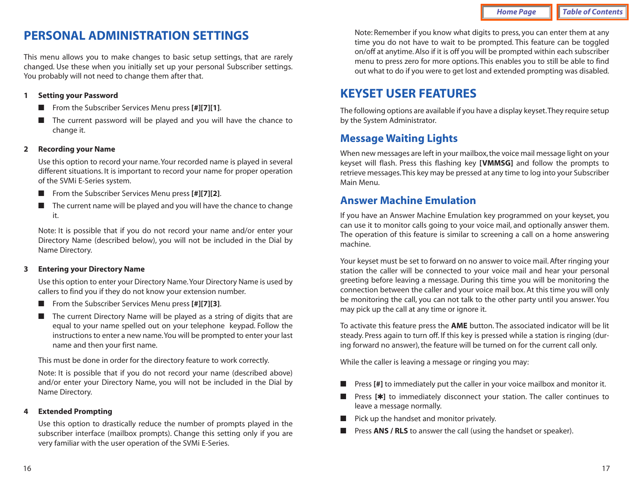# <span id="page-9-1"></span><span id="page-9-0"></span>**PERSONAL ADMINISTRATION SETTINGS**

This menu allows you to make changes to basic setup settings, that are rarely changed. Use these when you initially set up your personal Subscriber settings. You probably will not need to change them after that.

#### **<sup>1</sup> Setting your Password**

- <span id="page-9-2"></span>■ From the Subscriber Services Menu press **[#][7][1]**.
- The current password will be played and you will have the chance to change it.

#### **2 Recording your Name**

Use this option to record your name. Your recorded name is played in several different situations. It is important to record your name for proper operation of the SVMi E-Series system.

- From the Subscriber Services Menu press **[#][7][2]**.
- The current name will be played and you will have the chance to change it.

Note: It is possible that if you do not record your name and/or enter your Directory Name (described below), you will not be included in the Dial by Name Directory.

#### **3 Entering your Directory Name**

Use this option to enter your Directory Name.Your Directory Name is used by callers to find you if they do not know your extension number.

- From the Subscriber Services Menu press **[#][7][3]**.
- The current Directory Name will be played as a string of digits that are equal to your name spelled out on your telephone keypad. Follow the instructions to enter a new name.You will be prompted to enter your last name and then your first name.

This must be done in order for the directory feature to work correctly.

Note: It is possible that if you do not record your name (described above) and/or enter your Directory Name, you will not be included in the Dial by Name Directory.

#### **4 Extended Prompting**

Use this option to drastically reduce the number of prompts played in the subscriber interface (mailbox prompts). Change this setting only if you are very familiar with the user operation of the SVMi E-Series.

Note: Remember if you know what digits to press, you can enter them at any time you do not have to wait to be prompted. This feature can be toggled on/off at anytime. Also if it is off you will be prompted within each subscriber menu to press zero for more options. This enables you to still be able to find out what to do if you were to get lost and extended prompting was disabled.

## **KEYSET USER FEATURES**

The following options are available if you have a display keyset.They require setup by the System Administrator.

### **Message Waiting Lights**

When new messages are left in your mailbox, the voice mail message light on your keyset will flash. Press this flashing key **[VMMSG]** and follow the prompts to retrieve messages.This key may be pressed at any time to log into your Subscriber Main Menu.

### **Answer Machine Emulation**

If you have an Answer Machine Emulation key programmed on your keyset, you can use it to monitor calls going to your voice mail, and optionally answer them. The operation of this feature is similar to screening a call on a home answering machine.

Your keyset must be set to forward on no answer to voice mail. After ringing your station the caller will be connected to your voice mail and hear your personal greeting before leaving a message. During this time you will be monitoring the connection between the caller and your voice mail box. At this time you will only be monitoring the call, you can not talk to the other party until you answer. You may pick up the call at any time or ignore it.

To activate this feature press the **AME** button. The associated indicator will be lit steady. Press again to turn off. If this key is pressed while a station is ringing (during forward no answer), the feature will be turned on for the current call only.

While the caller is leaving a message or ringing you may:

- Press [#] to immediately put the caller in your voice mailbox and monitor it.
- Press [**\***] to immediately disconnect your station. The caller continues to leave a message normally.
- Pick up the handset and monitor privately.
- Press **ANS / RLS** to answer the call (using the handset or speaker).